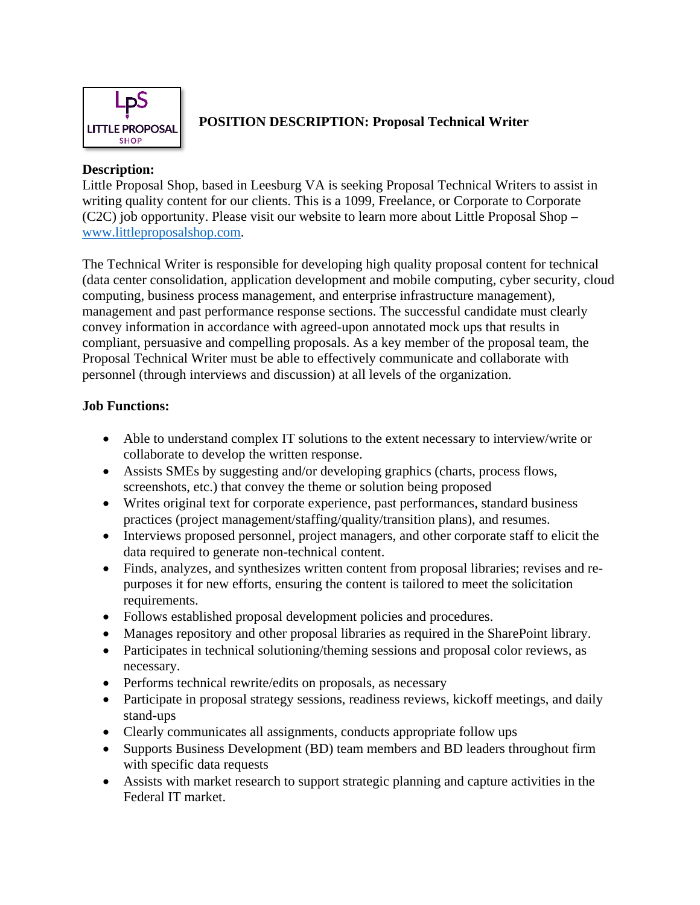

#### **POSITION DESCRIPTION: Proposal Technical Writer**

### **Description:**

Little Proposal Shop, based in Leesburg VA is seeking Proposal Technical Writers to assist in writing quality content for our clients. This is a 1099, Freelance, or Corporate to Corporate (C2C) job opportunity. Please visit our website to learn more about Little Proposal Shop – [www.littleproposalshop.com.](http://www.littleproposalshop.com/)

The Technical Writer is responsible for developing high quality proposal content for technical (data center consolidation, application development and mobile computing, cyber security, cloud computing, business process management, and enterprise infrastructure management), management and past performance response sections. The successful candidate must clearly convey information in accordance with agreed-upon annotated mock ups that results in compliant, persuasive and compelling proposals. As a key member of the proposal team, the Proposal Technical Writer must be able to effectively communicate and collaborate with personnel (through interviews and discussion) at all levels of the organization.

### **Job Functions:**

- Able to understand complex IT solutions to the extent necessary to interview/write or collaborate to develop the written response.
- Assists SMEs by suggesting and/or developing graphics (charts, process flows, screenshots, etc.) that convey the theme or solution being proposed
- Writes original text for corporate experience, past performances, standard business practices (project management/staffing/quality/transition plans), and resumes.
- Interviews proposed personnel, project managers, and other corporate staff to elicit the data required to generate non-technical content.
- Finds, analyzes, and synthesizes written content from proposal libraries; revises and repurposes it for new efforts, ensuring the content is tailored to meet the solicitation requirements.
- Follows established proposal development policies and procedures.
- Manages repository and other proposal libraries as required in the SharePoint library.
- Participates in technical solutioning/theming sessions and proposal color reviews, as necessary.
- Performs technical rewrite/edits on proposals, as necessary
- Participate in proposal strategy sessions, readiness reviews, kickoff meetings, and daily stand-ups
- Clearly communicates all assignments, conducts appropriate follow ups
- Supports Business Development (BD) team members and BD leaders throughout firm with specific data requests
- Assists with market research to support strategic planning and capture activities in the Federal IT market.